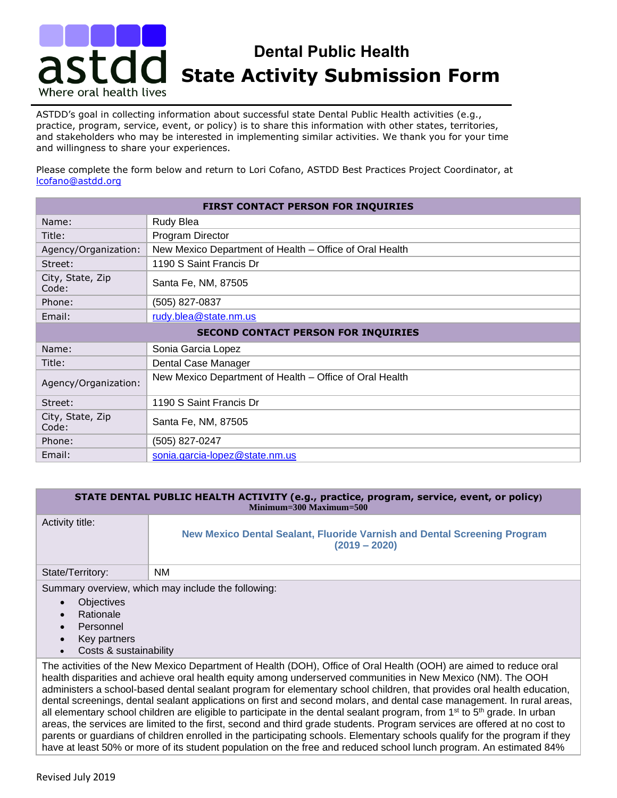## **AST CO State Activity Submission Form Dental Public Health**  Where oral health lives

ASTDD's goal in collecting information about successful state Dental Public Health activities (e.g., practice, program, service, event, or policy) is to share this information with other states, territories, and stakeholders who may be interested in implementing similar activities. We thank you for your time and willingness to share your experiences.

Please complete the form below and return to Lori Cofano, ASTDD Best Practices Project Coordinator, at [lcofano@astdd.org](mailto:lcofano@astdd.org)

| FIRST CONTACT PERSON FOR INQUIRIES         |                                                         |  |
|--------------------------------------------|---------------------------------------------------------|--|
| Name:                                      | <b>Rudy Blea</b>                                        |  |
| Title:                                     | Program Director                                        |  |
| Agency/Organization:                       | New Mexico Department of Health - Office of Oral Health |  |
| Street:                                    | 1190 S Saint Francis Dr                                 |  |
| City, State, Zip<br>Code:                  | Santa Fe, NM, 87505                                     |  |
| Phone:                                     | (505) 827-0837                                          |  |
| Email:                                     | rudy.blea@state.nm.us                                   |  |
| <b>SECOND CONTACT PERSON FOR INQUIRIES</b> |                                                         |  |
| Name:                                      | Sonia Garcia Lopez                                      |  |
| Title:                                     | Dental Case Manager                                     |  |
| Agency/Organization:                       | New Mexico Department of Health - Office of Oral Health |  |
| Street:                                    | 1190 S Saint Francis Dr                                 |  |
| City, State, Zip<br>Code:                  | Santa Fe, NM, 87505                                     |  |
| Phone:                                     | (505) 827-0247                                          |  |
| Email:                                     | sonia.garcia-lopez@state.nm.us                          |  |

## **STATE DENTAL PUBLIC HEALTH ACTIVITY (e.g., practice, program, service, event, or policy) Minimum=300 Maximum=500**

| Activity title:  | New Mexico Dental Sealant, Fluoride Varnish and Dental Screening Program<br>$(2019 - 2020)$ |
|------------------|---------------------------------------------------------------------------------------------|
| State/Territory: | <b>NM</b>                                                                                   |

Summary overview, which may include the following:

- Objectives
- **Rationale**
- **Personnel**
- Key partners
- Costs & sustainability

The activities of the New Mexico Department of Health (DOH), Office of Oral Health (OOH) are aimed to reduce oral health disparities and achieve oral health equity among underserved communities in New Mexico (NM). The OOH administers a school-based dental sealant program for elementary school children, that provides oral health education, dental screenings, dental sealant applications on first and second molars, and dental case management. In rural areas, all elementary school children are eligible to participate in the dental sealant program, from 1<sup>st</sup> to 5<sup>th</sup> grade. In urban areas, the services are limited to the first, second and third grade students. Program services are offered at no cost to parents or guardians of children enrolled in the participating schools. Elementary schools qualify for the program if they have at least 50% or more of its student population on the free and reduced school lunch program. An estimated 84%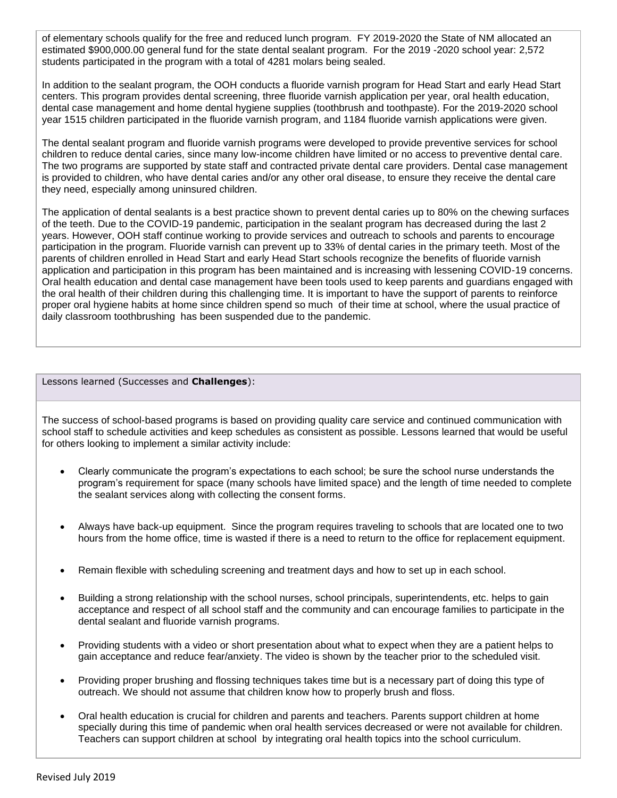of elementary schools qualify for the free and reduced lunch program. FY 2019-2020 the State of NM allocated an estimated \$900,000.00 general fund for the state dental sealant program. For the 2019 -2020 school year: 2,572 students participated in the program with a total of 4281 molars being sealed.

In addition to the sealant program, the OOH conducts a fluoride varnish program for Head Start and early Head Start centers. This program provides dental screening, three fluoride varnish application per year, oral health education, dental case management and home dental hygiene supplies (toothbrush and toothpaste). For the 2019-2020 school year 1515 children participated in the fluoride varnish program, and 1184 fluoride varnish applications were given.

The dental sealant program and fluoride varnish programs were developed to provide preventive services for school children to reduce dental caries, since many low-income children have limited or no access to preventive dental care. The two programs are supported by state staff and contracted private dental care providers. Dental case management is provided to children, who have dental caries and/or any other oral disease, to ensure they receive the dental care they need, especially among uninsured children.

The application of dental sealants is a best practice shown to prevent dental caries up to 80% on the chewing surfaces of the teeth. Due to the COVID-19 pandemic, participation in the sealant program has decreased during the last 2 years. However, OOH staff continue working to provide services and outreach to schools and parents to encourage participation in the program. Fluoride varnish can prevent up to 33% of dental caries in the primary teeth. Most of the parents of children enrolled in Head Start and early Head Start schools recognize the benefits of fluoride varnish application and participation in this program has been maintained and is increasing with lessening COVID-19 concerns. Oral health education and dental case management have been tools used to keep parents and guardians engaged with the oral health of their children during this challenging time. It is important to have the support of parents to reinforce proper oral hygiene habits at home since children spend so much of their time at school, where the usual practice of daily classroom toothbrushing has been suspended due to the pandemic.

Lessons learned (Successes and **Challenges**):

The success of school-based programs is based on providing quality care service and continued communication with school staff to schedule activities and keep schedules as consistent as possible. Lessons learned that would be useful for others looking to implement a similar activity include:

- Clearly communicate the program's expectations to each school; be sure the school nurse understands the program's requirement for space (many schools have limited space) and the length of time needed to complete the sealant services along with collecting the consent forms.
- Always have back-up equipment. Since the program requires traveling to schools that are located one to two hours from the home office, time is wasted if there is a need to return to the office for replacement equipment.
- Remain flexible with scheduling screening and treatment days and how to set up in each school.
- Building a strong relationship with the school nurses, school principals, superintendents, etc. helps to gain acceptance and respect of all school staff and the community and can encourage families to participate in the dental sealant and fluoride varnish programs.
- Providing students with a video or short presentation about what to expect when they are a patient helps to gain acceptance and reduce fear/anxiety. The video is shown by the teacher prior to the scheduled visit.
- Providing proper brushing and flossing techniques takes time but is a necessary part of doing this type of outreach. We should not assume that children know how to properly brush and floss.
- Oral health education is crucial for children and parents and teachers. Parents support children at home specially during this time of pandemic when oral health services decreased or were not available for children. Teachers can support children at school by integrating oral health topics into the school curriculum.